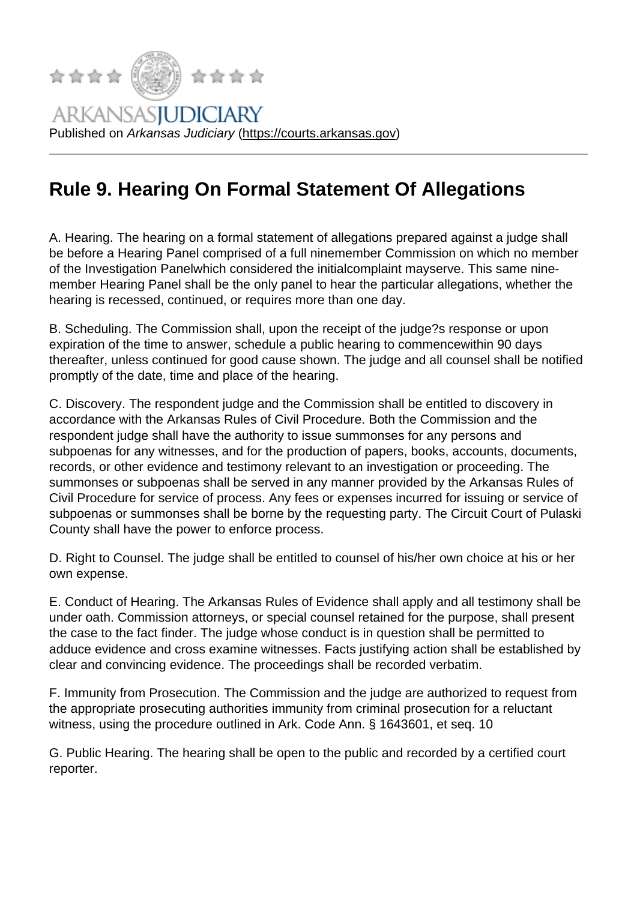## Rule 9. Hearing On Fo[rmal Statement Of](https://courts.arkansas.gov) Allegations

A. Hearing. The hearing on a formal statement of allegations prepared against a judge shall be before a Hearing Panel comprised of a full ninemember Commission on which no member of the Investigation Panelwhich considered the initialcomplaint mayserve. This same ninemember Hearing Panel shall be the only panel to hear the particular allegations, whether the hearing is recessed, continued, or requires more than one day.

B. Scheduling. The Commission shall, upon the receipt of the judge?s response or upon expiration of the time to answer, schedule a public hearing to commencewithin 90 days thereafter, unless continued for good cause shown. The judge and all counsel shall be notified promptly of the date, time and place of the hearing.

C. Discovery. The respondent judge and the Commission shall be entitled to discovery in accordance with the Arkansas Rules of Civil Procedure. Both the Commission and the respondent judge shall have the authority to issue summonses for any persons and subpoenas for any witnesses, and for the production of papers, books, accounts, documents, records, or other evidence and testimony relevant to an investigation or proceeding. The summonses or subpoenas shall be served in any manner provided by the Arkansas Rules of Civil Procedure for service of process. Any fees or expenses incurred for issuing or service of subpoenas or summonses shall be borne by the requesting party. The Circuit Court of Pulaski County shall have the power to enforce process.

D. Right to Counsel. The judge shall be entitled to counsel of his/her own choice at his or her own expense.

E. Conduct of Hearing. The Arkansas Rules of Evidence shall apply and all testimony shall be under oath. Commission attorneys, or special counsel retained for the purpose, shall present the case to the fact finder. The judge whose conduct is in question shall be permitted to adduce evidence and cross examine witnesses. Facts justifying action shall be established by clear and convincing evidence. The proceedings shall be recorded verbatim.

F. Immunity from Prosecution. The Commission and the judge are authorized to request from the appropriate prosecuting authorities immunity from criminal prosecution for a reluctant witness, using the procedure outlined in Ark. Code Ann. § 1643601, et seq. 10

G. Public Hearing. The hearing shall be open to the public and recorded by a certified court reporter.